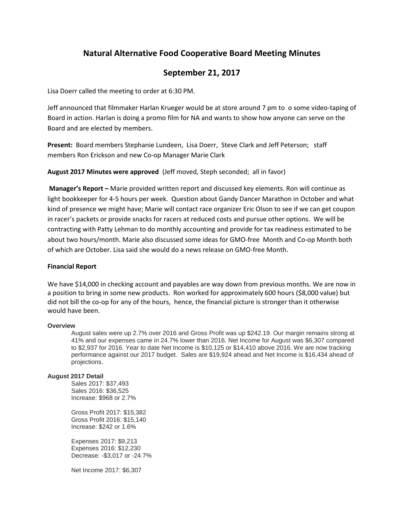# **Natural Alternative Food Cooperative Board Meeting Minutes**

## **September 21, 2017**

Lisa Doerr called the meeting to order at 6:30 PM.

Jeff announced that filmmaker Harlan Krueger would be at store around 7 pm to o some video-taping of Board in action. Harlan is doing a promo film for NA and wants to show how anyone can serve on the Board and are elected by members.

**Present:** Board members Stephanie Lundeen, Lisa Doerr, Steve Clark and Jeff Peterson; staff members Ron Erickson and new Co-op Manager Marie Clark

**August 2017 Minutes were approved** (Jeff moved, Steph seconded; all in favor)

**Manager's Report –** Marie provided written report and discussed key elements. Ron will continue as light bookkeeper for 4-5 hours per week. Question about Gandy Dancer Marathon in October and what kind of presence we might have; Marie will contact race organizer Eric Olson to see if we can get coupon in racer's packets or provide snacks for racers at reduced costs and pursue other options. We will be contracting with Patty Lehman to do monthly accounting and provide for tax readiness estimated to be about two hours/month. Marie also discussed some ideas for GMO-free Month and Co-op Month both of which are October. Lisa said she would do a news release on GMO-free Month.

#### **Financial Report**

We have \$14,000 in checking account and payables are way down from previous months. We are now in a position to bring in some new products. Ron worked for approximately 600 hours (\$8,000 value) but did not bill the co-op for any of the hours, hence, the financial picture is stronger than it otherwise would have been.

#### **Overview**

August sales were up 2.7% over 2016 and Gross Profit was up \$242.19. Our margin remains strong at 41% and our expenses came in 24.7% lower than 2016. Net Income for August was \$6,307 compared to \$2,937 for 2016. Year to date Net Income is \$10,125 or \$14,410 above 2016. We are now tracking performance against our 2017 budget. Sales are \$19,924 ahead and Net Income is \$16,434 ahead of projections.

#### **August 2017 Detail**

Sales 2017: \$37,493 Sales 2016: \$36,525 Increase: \$968 or 2.7%

Gross Profit 2017: \$15,382 Gross Profit 2016: \$15,140 Increase: \$242 or 1.6%

Expenses 2017: \$9,213 Expenses 2016: \$12,230 Decrease: -\$3,017 or -24.7%

Net Income 2017: \$6,307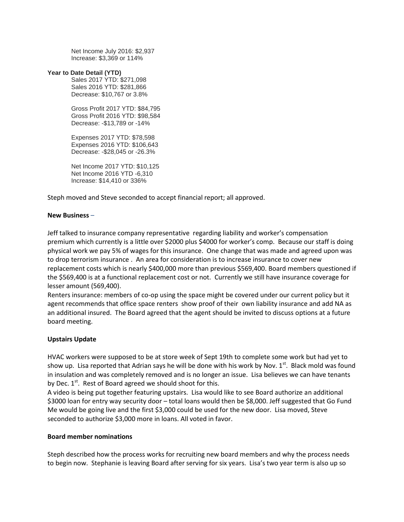Net Income July 2016: \$2,937 Increase: \$3,369 or 114%

#### **Year to Date Detail (YTD)**

Sales 2017 YTD: \$271,098 Sales 2016 YTD: \$281,866 Decrease: \$10,767 or 3.8%

Gross Profit 2017 YTD: \$84,795 Gross Profit 2016 YTD: \$98,584 Decrease: -\$13,789 or -14%

Expenses 2017 YTD: \$78,598 Expenses 2016 YTD: \$106,643 Decrease: -\$28,045 or -26.3%

Net Income 2017 YTD: \$10,125 Net Income 2016 YTD -6,310 Increase: \$14,410 or 336%

Steph moved and Steve seconded to accept financial report; all approved.

#### **New Business** –

Jeff talked to insurance company representative regarding liability and worker's compensation premium which currently is a little over \$2000 plus \$4000 for worker's comp. Because our staff is doing physical work we pay 5% of wages for this insurance. One change that was made and agreed upon was to drop terrorism insurance . An area for consideration is to increase insurance to cover new replacement costs which is nearly \$400,000 more than previous \$569,400. Board members questioned if the \$569,400 is at a functional replacement cost or not. Currently we still have insurance coverage for lesser amount (569,400).

Renters insurance: members of co-op using the space might be covered under our current policy but it agent recommends that office space renters show proof of their own liability insurance and add NA as an additional insured. The Board agreed that the agent should be invited to discuss options at a future board meeting.

## **Upstairs Update**

HVAC workers were supposed to be at store week of Sept 19th to complete some work but had yet to show up. Lisa reported that Adrian says he will be done with his work by Nov.  $1<sup>st</sup>$ . Black mold was found in insulation and was completely removed and is no longer an issue. Lisa believes we can have tenants by Dec. 1<sup>st</sup>. Rest of Board agreed we should shoot for this.

A video is being put together featuring upstairs. Lisa would like to see Board authorize an additional \$3000 loan for entry way security door – total loans would then be \$8,000. Jeff suggested that Go Fund Me would be going live and the first \$3,000 could be used for the new door. Lisa moved, Steve seconded to authorize \$3,000 more in loans. All voted in favor.

#### **Board member nominations**

Steph described how the process works for recruiting new board members and why the process needs to begin now. Stephanie is leaving Board after serving for six years. Lisa's two year term is also up so